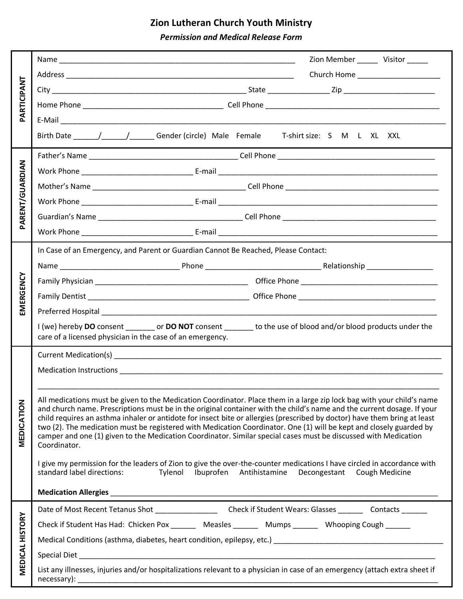## **Zion Lutheran Church Youth Ministry**

*Permission and Medical Release Form*

| PARTICIPANT            | Zion Member _______ Visitor ______                                                                                                                                                                                                                                                                                                                                                                                                                                                                                                                                                                                                      |  |  |
|------------------------|-----------------------------------------------------------------------------------------------------------------------------------------------------------------------------------------------------------------------------------------------------------------------------------------------------------------------------------------------------------------------------------------------------------------------------------------------------------------------------------------------------------------------------------------------------------------------------------------------------------------------------------------|--|--|
|                        | Church Home _____________________                                                                                                                                                                                                                                                                                                                                                                                                                                                                                                                                                                                                       |  |  |
|                        |                                                                                                                                                                                                                                                                                                                                                                                                                                                                                                                                                                                                                                         |  |  |
|                        |                                                                                                                                                                                                                                                                                                                                                                                                                                                                                                                                                                                                                                         |  |  |
|                        |                                                                                                                                                                                                                                                                                                                                                                                                                                                                                                                                                                                                                                         |  |  |
|                        |                                                                                                                                                                                                                                                                                                                                                                                                                                                                                                                                                                                                                                         |  |  |
| <b>PARENT/GUARDIAN</b> |                                                                                                                                                                                                                                                                                                                                                                                                                                                                                                                                                                                                                                         |  |  |
|                        |                                                                                                                                                                                                                                                                                                                                                                                                                                                                                                                                                                                                                                         |  |  |
|                        |                                                                                                                                                                                                                                                                                                                                                                                                                                                                                                                                                                                                                                         |  |  |
|                        |                                                                                                                                                                                                                                                                                                                                                                                                                                                                                                                                                                                                                                         |  |  |
|                        |                                                                                                                                                                                                                                                                                                                                                                                                                                                                                                                                                                                                                                         |  |  |
|                        |                                                                                                                                                                                                                                                                                                                                                                                                                                                                                                                                                                                                                                         |  |  |
|                        | In Case of an Emergency, and Parent or Guardian Cannot Be Reached, Please Contact:                                                                                                                                                                                                                                                                                                                                                                                                                                                                                                                                                      |  |  |
|                        |                                                                                                                                                                                                                                                                                                                                                                                                                                                                                                                                                                                                                                         |  |  |
|                        |                                                                                                                                                                                                                                                                                                                                                                                                                                                                                                                                                                                                                                         |  |  |
| EMERGENCY              |                                                                                                                                                                                                                                                                                                                                                                                                                                                                                                                                                                                                                                         |  |  |
|                        |                                                                                                                                                                                                                                                                                                                                                                                                                                                                                                                                                                                                                                         |  |  |
|                        | I (we) hereby DO consent _________ or DO NOT consent ________ to the use of blood and/or blood products under the<br>care of a licensed physician in the case of an emergency.                                                                                                                                                                                                                                                                                                                                                                                                                                                          |  |  |
|                        |                                                                                                                                                                                                                                                                                                                                                                                                                                                                                                                                                                                                                                         |  |  |
|                        |                                                                                                                                                                                                                                                                                                                                                                                                                                                                                                                                                                                                                                         |  |  |
|                        |                                                                                                                                                                                                                                                                                                                                                                                                                                                                                                                                                                                                                                         |  |  |
| <b>MEDICATION</b>      | All medications must be given to the Medication Coordinator. Place them in a large zip lock bag with your child's name<br>and church name. Prescriptions must be in the original container with the child's name and the current dosage. If your<br>child requires an asthma inhaler or antidote for insect bite or allergies (prescribed by doctor) have them bring at least<br>two (2). The medication must be registered with Medication Coordinator. One (1) will be kept and closely guarded by<br>camper and one (1) given to the Medication Coordinator. Similar special cases must be discussed with Medication<br>Coordinator. |  |  |
|                        | I give my permission for the leaders of Zion to give the over-the-counter medications I have circled in accordance with<br>standard label directions: Tylenol Ibuprofen Antihistamine Decongestant Cough Medicine                                                                                                                                                                                                                                                                                                                                                                                                                       |  |  |
|                        |                                                                                                                                                                                                                                                                                                                                                                                                                                                                                                                                                                                                                                         |  |  |
|                        |                                                                                                                                                                                                                                                                                                                                                                                                                                                                                                                                                                                                                                         |  |  |
|                        | Check if Student Has Had: Chicken Pox _______ Measles _______ Mumps ______ Whooping Cough ______                                                                                                                                                                                                                                                                                                                                                                                                                                                                                                                                        |  |  |
| <b>MEDICAL HISTORY</b> | Medical Conditions (asthma, diabetes, heart condition, epilepsy, etc.) [14] [2010] [2010] [2010] [2010] [2010] [                                                                                                                                                                                                                                                                                                                                                                                                                                                                                                                        |  |  |
|                        |                                                                                                                                                                                                                                                                                                                                                                                                                                                                                                                                                                                                                                         |  |  |
|                        | List any illnesses, injuries and/or hospitalizations relevant to a physician in case of an emergency (attach extra sheet if                                                                                                                                                                                                                                                                                                                                                                                                                                                                                                             |  |  |

Л